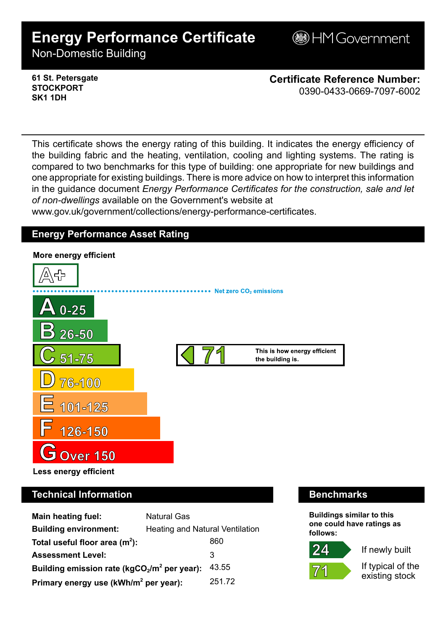# **Energy Performance Certificate**

**BHM Government** 

Non-Domestic Building

**61 St. Petersgate STOCKPORT SK1 1DH**

**Certificate Reference Number:** 0390-0433-0669-7097-6002

This certificate shows the energy rating of this building. It indicates the energy efficiency of the building fabric and the heating, ventilation, cooling and lighting systems. The rating is compared to two benchmarks for this type of building: one appropriate for new buildings and one appropriate for existing buildings. There is more advice on how to interpret this information in the guidance document *Energy Performance Certificates for the construction, sale and let of non-dwellings* available on the Government's website at

www.gov.uk/government/collections/energy-performance-certificates.

# **Energy Performance Asset Rating**



# **Technical Information Benchmarks**

| <b>Main heating fuel:</b>                         | <b>Natural Gas</b>              |        |
|---------------------------------------------------|---------------------------------|--------|
| <b>Building environment:</b>                      | Heating and Natural Ventilation |        |
| Total useful floor area $(m2)$ :                  |                                 | 860    |
| <b>Assessment Level:</b>                          |                                 | 3      |
| Building emission rate ( $kgCO2/m2$ per year):    |                                 | 43.55  |
| Primary energy use (kWh/m <sup>2</sup> per year): |                                 | 251.72 |

**Buildings similar to this one could have ratings as follows:**

If newly built



 $24$ 

If typical of the existing stock